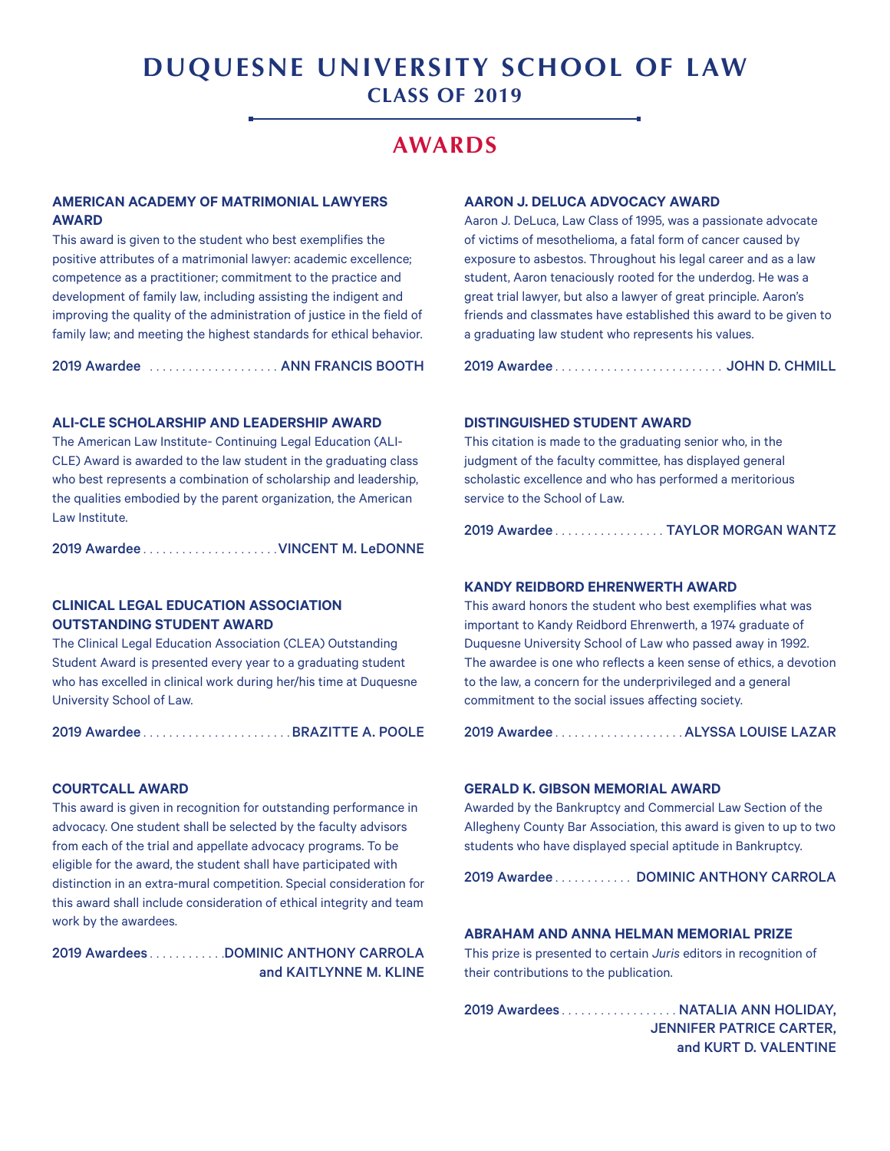# **DUQUESNE UNIVERSITY SCHOOL OF LAW CLASS OF 2019**

# **AWARDS**

# **AMERICAN ACADEMY OF MATRIMONIAL LAWYERS AWARD**

This award is given to the student who best exemplifies the positive attributes of a matrimonial lawyer: academic excellence; competence as a practitioner; commitment to the practice and development of family law, including assisting the indigent and improving the quality of the administration of justice in the field of family law; and meeting the highest standards for ethical behavior.

2019 Awardee . . . . . . . . . . . . . . . . . . . . ANN FRANCIS BOOTH

#### **ALI-CLE SCHOLARSHIP AND LEADERSHIP AWARD**

The American Law Institute- Continuing Legal Education (ALI-CLE) Award is awarded to the law student in the graduating class who best represents a combination of scholarship and leadership, the qualities embodied by the parent organization, the American Law Institute.

2019 Awardee. . VINCENT M. LeDONNE

# **CLINICAL LEGAL EDUCATION ASSOCIATION OUTSTANDING STUDENT AWARD**

The Clinical Legal Education Association (CLEA) Outstanding Student Award is presented every year to a graduating student who has excelled in clinical work during her/his time at Duquesne University School of Law.

2019 Awardee. . BRAZITTE A. POOLE

#### **COURTCALL AWARD**

This award is given in recognition for outstanding performance in advocacy. One student shall be selected by the faculty advisors from each of the trial and appellate advocacy programs. To be eligible for the award, the student shall have participated with distinction in an extra-mural competition. Special consideration for this award shall include consideration of ethical integrity and team work by the awardees.

2019 Awardees.........DOMINIC ANTHONY CARROLA and KAITLYNNE M. KLINE

#### **AARON J. DELUCA ADVOCACY AWARD**

Aaron J. DeLuca, Law Class of 1995, was a passionate advocate of victims of mesothelioma, a fatal form of cancer caused by exposure to asbestos. Throughout his legal career and as a law student, Aaron tenaciously rooted for the underdog. He was a great trial lawyer, but also a lawyer of great principle. Aaron's friends and classmates have established this award to be given to a graduating law student who represents his values.

2019 Awardee. . .JOHN D. CHMILL

#### **DISTINGUISHED STUDENT AWARD**

This citation is made to the graduating senior who, in the judgment of the faculty committee, has displayed general scholastic excellence and who has performed a meritorious service to the School of Law.

2019 Awardee. . TAYLOR MORGAN WANTZ

#### **KANDY REIDBORD EHRENWERTH AWARD**

This award honors the student who best exemplifies what was important to Kandy Reidbord Ehrenwerth, a 1974 graduate of Duquesne University School of Law who passed away in 1992. The awardee is one who reflects a keen sense of ethics, a devotion to the law, a concern for the underprivileged and a general commitment to the social issues affecting society.

2019 Awardee. . ALYSSA LOUISE LAZAR

#### **GERALD K. GIBSON MEMORIAL AWARD**

Awarded by the Bankruptcy and Commercial Law Section of the Allegheny County Bar Association, this award is given to up to two students who have displayed special aptitude in Bankruptcy.

2019 Awardee........... DOMINIC ANTHONY CARROLA

### **ABRAHAM AND ANNA HELMAN MEMORIAL PRIZE**

This prize is presented to certain *Juris* editors in recognition of their contributions to the publication.

2019 Awardees. . . . . . . . . . . . . . . . . . NATALIA ANN HOLIDAY, JENNIFER PATRICE CARTER, and KURT D. VALENTINE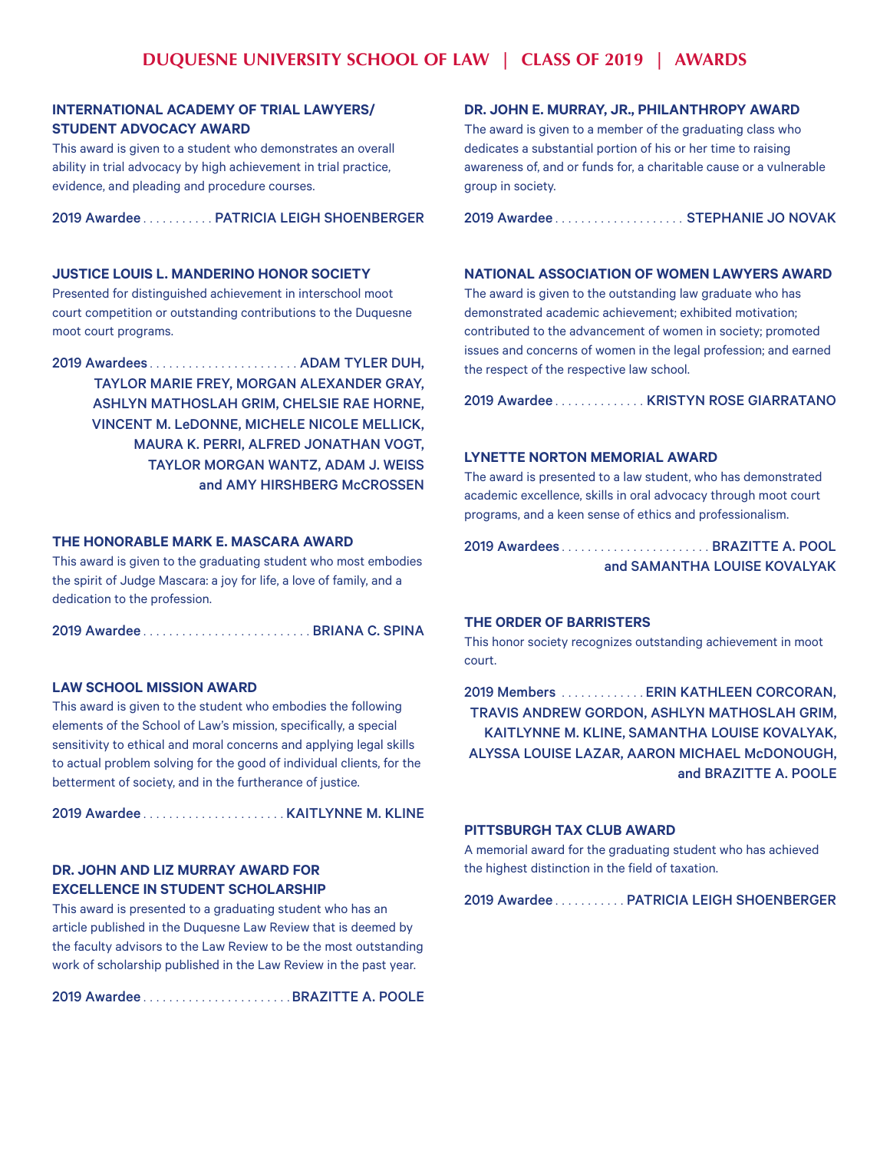# **INTERNATIONAL ACADEMY OF TRIAL LAWYERS/ STUDENT ADVOCACY AWARD**

This award is given to a student who demonstrates an overall ability in trial advocacy by high achievement in trial practice, evidence, and pleading and procedure courses.

2019 Awardee.......... PATRICIA LEIGH SHOENBERGER

## **JUSTICE LOUIS L. MANDERINO HONOR SOCIETY**

Presented for distinguished achievement in interschool moot court competition or outstanding contributions to the Duquesne moot court programs.

2019 Awardees. . ADAM TYLER DUH, TAYLOR MARIE FREY, MORGAN ALEXANDER GRAY, ASHLYN MATHOSLAH GRIM, CHELSIE RAE HORNE, VINCENT M. LeDONNE, MICHELE NICOLE MELLICK, MAURA K. PERRI, ALFRED JONATHAN VOGT, TAYLOR MORGAN WANTZ, ADAM J. WEISS and AMY HIRSHBERG McCROSSEN

#### **THE HONORABLE MARK E. MASCARA AWARD**

This award is given to the graduating student who most embodies the spirit of Judge Mascara: a joy for life, a love of family, and a dedication to the profession.

|--|--|--|

## **LAW SCHOOL MISSION AWARD**

This award is given to the student who embodies the following elements of the School of Law's mission, specifically, a special sensitivity to ethical and moral concerns and applying legal skills to actual problem solving for the good of individual clients, for the betterment of society, and in the furtherance of justice.

2019 Awardee. . KAITLYNNE M. KLINE

# **DR. JOHN AND LIZ MURRAY AWARD FOR EXCELLENCE IN STUDENT SCHOLARSHIP**

This award is presented to a graduating student who has an article published in the Duquesne Law Review that is deemed by the faculty advisors to the Law Review to be the most outstanding work of scholarship published in the Law Review in the past year.

2019 Awardee. . BRAZITTE A. POOLE

#### **DR. JOHN E. MURRAY, JR., PHILANTHROPY AWARD**

The award is given to a member of the graduating class who dedicates a substantial portion of his or her time to raising awareness of, and or funds for, a charitable cause or a vulnerable group in society.

2019 Awardee.................... STEPHANIE JO NOVAK

#### **NATIONAL ASSOCIATION OF WOMEN LAWYERS AWARD**

The award is given to the outstanding law graduate who has demonstrated academic achievement; exhibited motivation; contributed to the advancement of women in society; promoted issues and concerns of women in the legal profession; and earned the respect of the respective law school.

2019 Awardee..............KRISTYN ROSE GIARRATANO

#### **LYNETTE NORTON MEMORIAL AWARD**

The award is presented to a law student, who has demonstrated academic excellence, skills in oral advocacy through moot court programs, and a keen sense of ethics and professionalism.

| 2019 AwardeesBRAZITTE A. POOL |                              |
|-------------------------------|------------------------------|
|                               | and SAMANTHA LOUISE KOVALYAK |

#### **THE ORDER OF BARRISTERS**

This honor society recognizes outstanding achievement in moot court.

2019 Members . . . . . . . . . . . . . ERIN KATHLEEN CORCORAN, TRAVIS ANDREW GORDON, ASHLYN MATHOSLAH GRIM, KAITLYNNE M. KLINE, SAMANTHA LOUISE KOVALYAK, ALYSSA LOUISE LAZAR, AARON MICHAEL McDONOUGH, and BRAZITTE A. POOLE

#### **PITTSBURGH TAX CLUB AWARD**

A memorial award for the graduating student who has achieved the highest distinction in the field of taxation.

2019 Awardee........... PATRICIA LEIGH SHOENBERGER